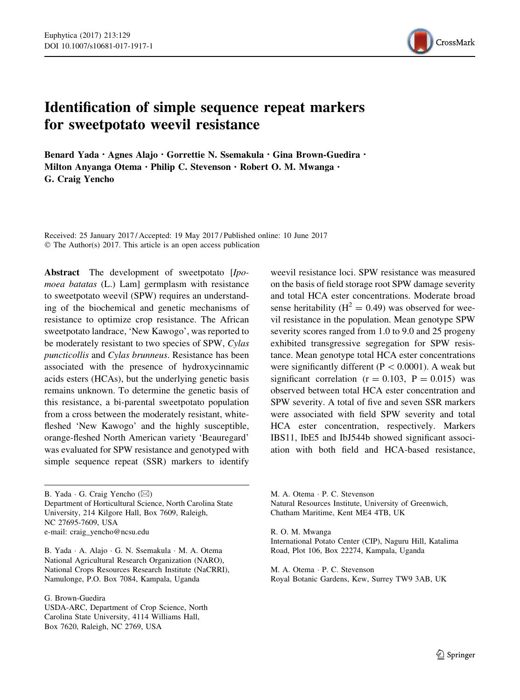

# Identification of simple sequence repeat markers for sweetpotato weevil resistance

Benard Yada · Agnes Alajo · Gorrettie N. Ssemakula · Gina Brown-Guedira · Milton Anyanga Otema · Philip C. Stevenson · Robert O. M. Mwanga · G. Craig Yencho

Received: 25 January 2017 / Accepted: 19 May 2017 / Published online: 10 June 2017 © The Author(s) 2017. This article is an open access publication

Abstract The development of sweetpotato [Ipomoea batatas (L.) Lam] germplasm with resistance to sweetpotato weevil (SPW) requires an understanding of the biochemical and genetic mechanisms of resistance to optimize crop resistance. The African sweetpotato landrace, 'New Kawogo', was reported to be moderately resistant to two species of SPW, Cylas puncticollis and Cylas brunneus. Resistance has been associated with the presence of hydroxycinnamic acids esters (HCAs), but the underlying genetic basis remains unknown. To determine the genetic basis of this resistance, a bi-parental sweetpotato population from a cross between the moderately resistant, whitefleshed 'New Kawogo' and the highly susceptible, orange-fleshed North American variety 'Beauregard' was evaluated for SPW resistance and genotyped with simple sequence repeat (SSR) markers to identify

B. Yada · G. Craig Yencho (⊠) Department of Horticultural Science, North Carolina State University, 214 Kilgore Hall, Box 7609, Raleigh, NC 27695-7609, USA e-mail: craig\_yencho@ncsu.edu

B. Yada - A. Alajo - G. N. Ssemakula - M. A. Otema National Agricultural Research Organization (NARO), National Crops Resources Research Institute (NaCRRI), Namulonge, P.O. Box 7084, Kampala, Uganda

G. Brown-Guedira

USDA-ARC, Department of Crop Science, North Carolina State University, 4114 Williams Hall, Box 7620, Raleigh, NC 2769, USA

weevil resistance loci. SPW resistance was measured on the basis of field storage root SPW damage severity and total HCA ester concentrations. Moderate broad sense heritability ( $H^2 = 0.49$ ) was observed for weevil resistance in the population. Mean genotype SPW severity scores ranged from 1.0 to 9.0 and 25 progeny exhibited transgressive segregation for SPW resistance. Mean genotype total HCA ester concentrations were significantly different ( $P < 0.0001$ ). A weak but significant correlation ( $r = 0.103$ ,  $P = 0.015$ ) was observed between total HCA ester concentration and SPW severity. A total of five and seven SSR markers were associated with field SPW severity and total HCA ester concentration, respectively. Markers IBS11, IbE5 and IbJ544b showed significant association with both field and HCA-based resistance,

M. A. Otema - P. C. Stevenson Natural Resources Institute, University of Greenwich, Chatham Maritime, Kent ME4 4TB, UK

R. O. M. Mwanga

International Potato Center (CIP), Naguru Hill, Katalima Road, Plot 106, Box 22274, Kampala, Uganda

M. A. Otema - P. C. Stevenson Royal Botanic Gardens, Kew, Surrey TW9 3AB, UK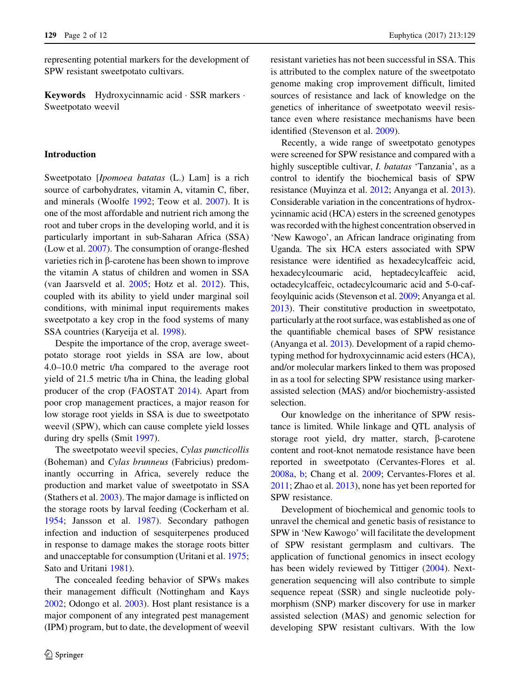representing potential markers for the development of SPW resistant sweetpotato cultivars.

Keywords Hydroxycinnamic acid - SSR markers - Sweetpotato weevil

### Introduction

Sweetpotato [Ipomoea batatas (L.) Lam] is a rich source of carbohydrates, vitamin A, vitamin C, fiber, and minerals (Woolfe [1992;](#page-10-0) Teow et al. [2007\)](#page-10-0). It is one of the most affordable and nutrient rich among the root and tuber crops in the developing world, and it is particularly important in sub-Saharan Africa (SSA) (Low et al. [2007](#page-10-0)). The consumption of orange-fleshed varieties rich in  $\beta$ -carotene has been shown to improve the vitamin A status of children and women in SSA (van Jaarsveld et al. [2005;](#page-10-0) Hotz et al. [2012\)](#page-10-0). This, coupled with its ability to yield under marginal soil conditions, with minimal input requirements makes sweetpotato a key crop in the food systems of many SSA countries (Karyeija et al. [1998](#page-10-0)).

Despite the importance of the crop, average sweetpotato storage root yields in SSA are low, about 4.0–10.0 metric t/ha compared to the average root yield of 21.5 metric t/ha in China, the leading global producer of the crop (FAOSTAT [2014\)](#page-9-0). Apart from poor crop management practices, a major reason for low storage root yields in SSA is due to sweetpotato weevil (SPW), which can cause complete yield losses during dry spells (Smit [1997](#page-10-0)).

The sweetpotato weevil species, Cylas puncticollis (Boheman) and Cylas brunneus (Fabricius) predominantly occurring in Africa, severely reduce the production and market value of sweetpotato in SSA (Stathers et al. [2003](#page-10-0)). The major damage is inflicted on the storage roots by larval feeding (Cockerham et al. [1954;](#page-9-0) Jansson et al. [1987](#page-10-0)). Secondary pathogen infection and induction of sesquiterpenes produced in response to damage makes the storage roots bitter and unacceptable for consumption (Uritani et al. [1975](#page-10-0); Sato and Uritani [1981\)](#page-10-0).

The concealed feeding behavior of SPWs makes their management difficult (Nottingham and Kays [2002;](#page-10-0) Odongo et al. [2003](#page-10-0)). Host plant resistance is a major component of any integrated pest management (IPM) program, but to date, the development of weevil resistant varieties has not been successful in SSA. This is attributed to the complex nature of the sweetpotato genome making crop improvement difficult, limited sources of resistance and lack of knowledge on the genetics of inheritance of sweetpotato weevil resistance even where resistance mechanisms have been identified (Stevenson et al. [2009](#page-10-0)).

Recently, a wide range of sweetpotato genotypes were screened for SPW resistance and compared with a highly susceptible cultivar, *I. batatas* 'Tanzania', as a control to identify the biochemical basis of SPW resistance (Muyinza et al. [2012](#page-10-0); Anyanga et al. [2013\)](#page-9-0). Considerable variation in the concentrations of hydroxycinnamic acid (HCA) esters in the screened genotypes was recorded with the highest concentration observed in 'New Kawogo', an African landrace originating from Uganda. The six HCA esters associated with SPW resistance were identified as hexadecylcaffeic acid, hexadecylcoumaric acid, heptadecylcaffeic acid, octadecylcaffeic, octadecylcoumaric acid and 5-0-caffeoylquinic acids (Stevenson et al. [2009](#page-10-0); Anyanga et al. [2013](#page-9-0)). Their constitutive production in sweetpotato, particularly at the root surface, was established as one of the quantifiable chemical bases of SPW resistance (Anyanga et al. [2013](#page-9-0)). Development of a rapid chemotyping method for hydroxycinnamic acid esters (HCA), and/or molecular markers linked to them was proposed in as a tool for selecting SPW resistance using markerassisted selection (MAS) and/or biochemistry-assisted selection.

Our knowledge on the inheritance of SPW resistance is limited. While linkage and QTL analysis of storage root yield, dry matter, starch,  $\beta$ -carotene content and root-knot nematode resistance have been reported in sweetpotato (Cervantes-Flores et al. [2008a](#page-9-0), [b](#page-9-0); Chang et al. [2009](#page-9-0); Cervantes-Flores et al. [2011;](#page-9-0) Zhao et al. [2013](#page-11-0)), none has yet been reported for SPW resistance.

Development of biochemical and genomic tools to unravel the chemical and genetic basis of resistance to SPW in 'New Kawogo' will facilitate the development of SPW resistant germplasm and cultivars. The application of functional genomics in insect ecology has been widely reviewed by Tittiger ([2004\)](#page-10-0). Nextgeneration sequencing will also contribute to simple sequence repeat (SSR) and single nucleotide polymorphism (SNP) marker discovery for use in marker assisted selection (MAS) and genomic selection for developing SPW resistant cultivars. With the low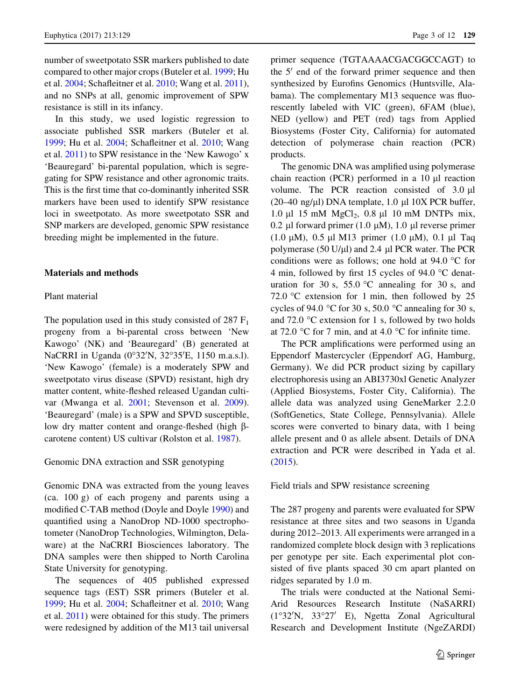number of sweetpotato SSR markers published to date compared to other major crops (Buteler et al. [1999](#page-9-0); Hu et al. [2004](#page-10-0); Schafleitner et al. [2010](#page-10-0); Wang et al. [2011](#page-10-0)), and no SNPs at all, genomic improvement of SPW resistance is still in its infancy.

In this study, we used logistic regression to associate published SSR markers (Buteler et al. [1999;](#page-9-0) Hu et al. [2004;](#page-10-0) Schafleitner et al. [2010](#page-10-0); Wang et al. [2011](#page-10-0)) to SPW resistance in the 'New Kawogo' x 'Beauregard' bi-parental population, which is segregating for SPW resistance and other agronomic traits. This is the first time that co-dominantly inherited SSR markers have been used to identify SPW resistance loci in sweetpotato. As more sweetpotato SSR and SNP markers are developed, genomic SPW resistance breeding might be implemented in the future.

#### Materials and methods

## Plant material

The population used in this study consisted of  $287 \mathrm{F}_1$ progeny from a bi-parental cross between 'New Kawogo' (NK) and 'Beauregard' (B) generated at NaCRRI in Uganda (0°32'N, 32°35'E, 1150 m.a.s.l). 'New Kawogo' (female) is a moderately SPW and sweetpotato virus disease (SPVD) resistant, high dry matter content, white-fleshed released Ugandan cultivar (Mwanga et al. [2001](#page-10-0); Stevenson et al. [2009](#page-10-0)). 'Beauregard' (male) is a SPW and SPVD susceptible, low dry matter content and orange-fleshed (high  $\beta$ carotene content) US cultivar (Rolston et al. [1987\)](#page-10-0).

#### Genomic DNA extraction and SSR genotyping

Genomic DNA was extracted from the young leaves (ca. 100 g) of each progeny and parents using a modified C-TAB method (Doyle and Doyle [1990](#page-9-0)) and quantified using a NanoDrop ND-1000 spectrophotometer (NanoDrop Technologies, Wilmington, Delaware) at the NaCRRI Biosciences laboratory. The DNA samples were then shipped to North Carolina State University for genotyping.

The sequences of 405 published expressed sequence tags (EST) SSR primers (Buteler et al. [1999;](#page-9-0) Hu et al. [2004;](#page-10-0) Schafleitner et al. [2010](#page-10-0); Wang et al. [2011](#page-10-0)) were obtained for this study. The primers were redesigned by addition of the M13 tail universal primer sequence (TGTAAAACGACGGCCAGT) to the  $5'$  end of the forward primer sequence and then synthesized by Eurofins Genomics (Huntsville, Alabama). The complementary M13 sequence was fluorescently labeled with VIC (green), 6FAM (blue), NED (yellow) and PET (red) tags from Applied Biosystems (Foster City, California) for automated detection of polymerase chain reaction (PCR) products.

The genomic DNA was amplified using polymerase chain reaction (PCR) performed in a  $10 \mu l$  reaction volume. The PCR reaction consisted of  $3.0 \mu l$ (20–40 ng/ $\mu$ l) DNA template, 1.0  $\mu$ l 10X PCR buffer, 1.0  $\mu$ l 15 mM MgCl<sub>2</sub>, 0.8  $\mu$ l 10 mM DNTPs mix, 0.2 µl forward primer (1.0 µM), 1.0 µl reverse primer (1.0  $\mu$ M), 0.5  $\mu$ l M13 primer (1.0  $\mu$ M), 0.1  $\mu$ l Taq polymerase (50 U/ $\mu$ l) and 2.4  $\mu$ l PCR water. The PCR conditions were as follows; one hold at 94.0  $\degree$ C for 4 min, followed by first 15 cycles of 94.0  $\degree$ C denaturation for 30 s, 55.0  $\degree$ C annealing for 30 s, and 72.0  $\degree$ C extension for 1 min, then followed by 25 cycles of 94.0 °C for 30 s, 50.0 °C annealing for 30 s, and 72.0  $\degree$ C extension for 1 s, followed by two holds at 72.0  $\degree$ C for 7 min, and at 4.0  $\degree$ C for infinite time.

The PCR amplifications were performed using an Eppendorf Mastercycler (Eppendorf AG, Hamburg, Germany). We did PCR product sizing by capillary electrophoresis using an ABI3730xl Genetic Analyzer (Applied Biosystems, Foster City, California). The allele data was analyzed using GeneMarker 2.2.0 (SoftGenetics, State College, Pennsylvania). Allele scores were converted to binary data, with 1 being allele present and 0 as allele absent. Details of DNA extraction and PCR were described in Yada et al. [\(2015](#page-10-0)).

Field trials and SPW resistance screening

The 287 progeny and parents were evaluated for SPW resistance at three sites and two seasons in Uganda during 2012–2013. All experiments were arranged in a randomized complete block design with 3 replications per genotype per site. Each experimental plot consisted of five plants spaced 30 cm apart planted on ridges separated by 1.0 m.

The trials were conducted at the National Semi-Arid Resources Research Institute (NaSARRI) (1°32'N, 33°27' E), Ngetta Zonal Agricultural Research and Development Institute (NgeZARDI)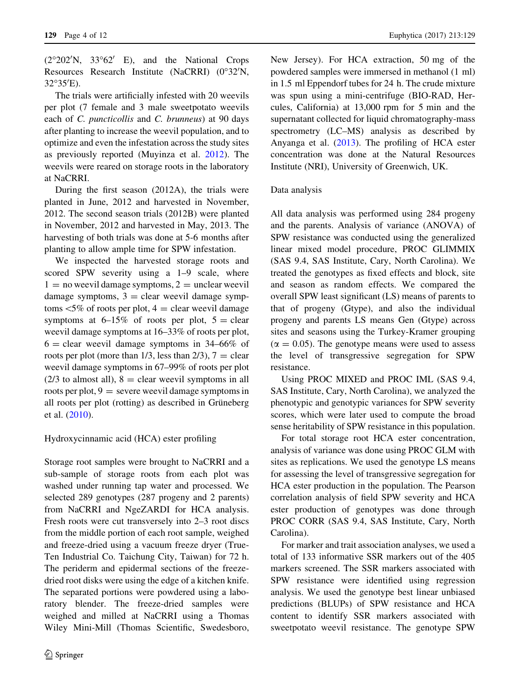$(2^{\circ}202'N, 33^{\circ}62' E)$ , and the National Crops Resources Research Institute (NaCRRI) (0°32'N,  $32^{\circ}35'E$ ).

The trials were artificially infested with 20 weevils per plot (7 female and 3 male sweetpotato weevils each of C. puncticollis and C. brunneus) at 90 days after planting to increase the weevil population, and to optimize and even the infestation across the study sites as previously reported (Muyinza et al. [2012\)](#page-10-0). The weevils were reared on storage roots in the laboratory at NaCRRI.

During the first season (2012A), the trials were planted in June, 2012 and harvested in November, 2012. The second season trials (2012B) were planted in November, 2012 and harvested in May, 2013. The harvesting of both trials was done at 5-6 months after planting to allow ample time for SPW infestation.

We inspected the harvested storage roots and scored SPW severity using a 1–9 scale, where  $1 =$  no weevil damage symptoms,  $2 =$  unclear weevil damage symptoms,  $3 =$  clear weevil damage symptoms  $\leq 5\%$  of roots per plot,  $4 =$  clear weevil damage symptoms at  $6-15\%$  of roots per plot,  $5 = \text{clear}$ weevil damage symptoms at 16–33% of roots per plot,  $6 =$  clear weevil damage symptoms in 34–66% of roots per plot (more than  $1/3$ , less than  $2/3$ ),  $7 =$  clear weevil damage symptoms in 67–99% of roots per plot  $(2/3$  to almost all),  $8 =$  clear weevil symptoms in all roots per plot,  $9$  = severe weevil damage symptoms in all roots per plot (rotting) as described in Grüneberg et al. ([2010\)](#page-9-0).

Hydroxycinnamic acid (HCA) ester profiling

Storage root samples were brought to NaCRRI and a sub-sample of storage roots from each plot was washed under running tap water and processed. We selected 289 genotypes (287 progeny and 2 parents) from NaCRRI and NgeZARDI for HCA analysis. Fresh roots were cut transversely into 2–3 root discs from the middle portion of each root sample, weighed and freeze-dried using a vacuum freeze dryer (True-Ten Industrial Co. Taichung City, Taiwan) for 72 h. The periderm and epidermal sections of the freezedried root disks were using the edge of a kitchen knife. The separated portions were powdered using a laboratory blender. The freeze-dried samples were weighed and milled at NaCRRI using a Thomas Wiley Mini-Mill (Thomas Scientific, Swedesboro, New Jersey). For HCA extraction, 50 mg of the powdered samples were immersed in methanol (1 ml) in 1.5 ml Eppendorf tubes for 24 h. The crude mixture was spun using a mini-centrifuge (BIO-RAD, Hercules, California) at 13,000 rpm for 5 min and the supernatant collected for liquid chromatography-mass spectrometry (LC–MS) analysis as described by Anyanga et al. [\(2013](#page-9-0)). The profiling of HCA ester concentration was done at the Natural Resources Institute (NRI), University of Greenwich, UK.

# Data analysis

All data analysis was performed using 284 progeny and the parents. Analysis of variance (ANOVA) of SPW resistance was conducted using the generalized linear mixed model procedure, PROC GLIMMIX (SAS 9.4, SAS Institute, Cary, North Carolina). We treated the genotypes as fixed effects and block, site and season as random effects. We compared the overall SPW least significant (LS) means of parents to that of progeny (Gtype), and also the individual progeny and parents LS means Gen (Gtype) across sites and seasons using the Turkey-Kramer grouping  $(\alpha = 0.05)$ . The genotype means were used to assess the level of transgressive segregation for SPW resistance.

Using PROC MIXED and PROC IML (SAS 9.4, SAS Institute, Cary, North Carolina), we analyzed the phenotypic and genotypic variances for SPW severity scores, which were later used to compute the broad sense heritability of SPW resistance in this population.

For total storage root HCA ester concentration, analysis of variance was done using PROC GLM with sites as replications. We used the genotype LS means for assessing the level of transgressive segregation for HCA ester production in the population. The Pearson correlation analysis of field SPW severity and HCA ester production of genotypes was done through PROC CORR (SAS 9.4, SAS Institute, Cary, North Carolina).

For marker and trait association analyses, we used a total of 133 informative SSR markers out of the 405 markers screened. The SSR markers associated with SPW resistance were identified using regression analysis. We used the genotype best linear unbiased predictions (BLUPs) of SPW resistance and HCA content to identify SSR markers associated with sweetpotato weevil resistance. The genotype SPW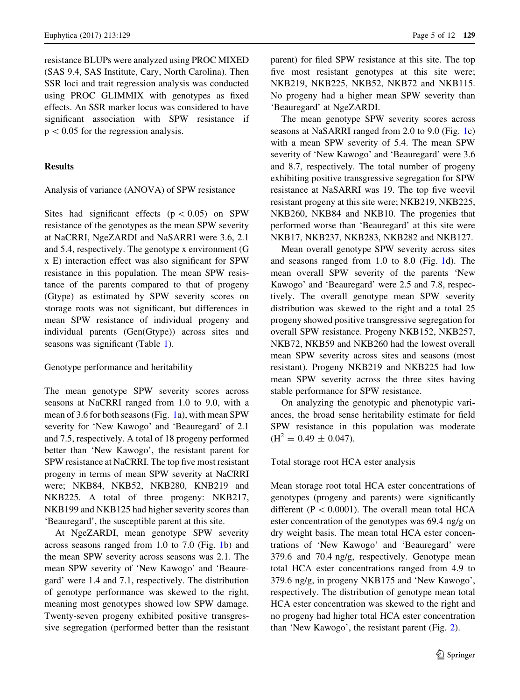resistance BLUPs were analyzed using PROC MIXED (SAS 9.4, SAS Institute, Cary, North Carolina). Then SSR loci and trait regression analysis was conducted using PROC GLIMMIX with genotypes as fixed effects. An SSR marker locus was considered to have significant association with SPW resistance if  $p<0.05$  for the regression analysis.

## Results

#### Analysis of variance (ANOVA) of SPW resistance

Sites had significant effects ( $p \lt 0.05$ ) on SPW resistance of the genotypes as the mean SPW severity at NaCRRI, NgeZARDI and NaSARRI were 3.6, 2.1 and 5.4, respectively. The genotype x environment (G x E) interaction effect was also significant for SPW resistance in this population. The mean SPW resistance of the parents compared to that of progeny (Gtype) as estimated by SPW severity scores on storage roots was not significant, but differences in mean SPW resistance of individual progeny and individual parents (Gen(Gtype)) across sites and seasons was significant (Table [1](#page-5-0)).

# Genotype performance and heritability

The mean genotype SPW severity scores across seasons at NaCRRI ranged from 1.0 to 9.0, with a mean of 3.6 for both seasons (Fig. [1a](#page-5-0)), with mean SPW severity for 'New Kawogo' and 'Beauregard' of 2.1 and 7.5, respectively. A total of 18 progeny performed better than 'New Kawogo', the resistant parent for SPW resistance at NaCRRI. The top five most resistant progeny in terms of mean SPW severity at NaCRRI were; NKB84, NKB52, NKB280, KNB219 and NKB225. A total of three progeny: NKB217, NKB199 and NKB125 had higher severity scores than 'Beauregard', the susceptible parent at this site.

At NgeZARDI, mean genotype SPW severity across seasons ranged from 1.0 to 7.0 (Fig. [1b](#page-5-0)) and the mean SPW severity across seasons was 2.1. The mean SPW severity of 'New Kawogo' and 'Beauregard' were 1.4 and 7.1, respectively. The distribution of genotype performance was skewed to the right, meaning most genotypes showed low SPW damage. Twenty-seven progeny exhibited positive transgressive segregation (performed better than the resistant parent) for filed SPW resistance at this site. The top five most resistant genotypes at this site were; NKB219, NKB225, NKB52, NKB72 and NKB115. No progeny had a higher mean SPW severity than 'Beauregard' at NgeZARDI.

The mean genotype SPW severity scores across seasons at NaSARRI ranged from 2.0 to 9.0 (Fig. [1](#page-5-0)c) with a mean SPW severity of 5.4. The mean SPW severity of 'New Kawogo' and 'Beauregard' were 3.6 and 8.7, respectively. The total number of progeny exhibiting positive transgressive segregation for SPW resistance at NaSARRI was 19. The top five weevil resistant progeny at this site were; NKB219, NKB225, NKB260, NKB84 and NKB10. The progenies that performed worse than 'Beauregard' at this site were NKB17, NKB237, NKB283, NKB282 and NKB127.

Mean overall genotype SPW severity across sites and seasons ranged from 1.0 to 8.0 (Fig. [1](#page-5-0)d). The mean overall SPW severity of the parents 'New Kawogo' and 'Beauregard' were 2.5 and 7.8, respectively. The overall genotype mean SPW severity distribution was skewed to the right and a total 25 progeny showed positive transgressive segregation for overall SPW resistance. Progeny NKB152, NKB257, NKB72, NKB59 and NKB260 had the lowest overall mean SPW severity across sites and seasons (most resistant). Progeny NKB219 and NKB225 had low mean SPW severity across the three sites having stable performance for SPW resistance.

On analyzing the genotypic and phenotypic variances, the broad sense heritability estimate for field SPW resistance in this population was moderate  $(H^2 = 0.49 \pm 0.047).$ 

# Total storage root HCA ester analysis

Mean storage root total HCA ester concentrations of genotypes (progeny and parents) were significantly different ( $P < 0.0001$ ). The overall mean total HCA ester concentration of the genotypes was 69.4 ng/g on dry weight basis. The mean total HCA ester concentrations of 'New Kawogo' and 'Beauregard' were 379.6 and 70.4 ng/g, respectively. Genotype mean total HCA ester concentrations ranged from 4.9 to 379.6 ng/g, in progeny NKB175 and 'New Kawogo', respectively. The distribution of genotype mean total HCA ester concentration was skewed to the right and no progeny had higher total HCA ester concentration than 'New Kawogo', the resistant parent (Fig. [2\)](#page-6-0).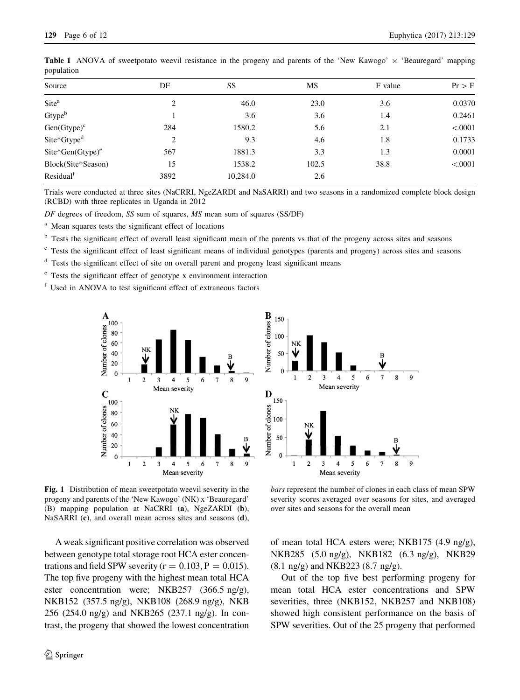| Source                            | DF             | SS       | MS    | F value | $Pr$ > F |
|-----------------------------------|----------------|----------|-------|---------|----------|
| Site <sup>a</sup>                 | $\overline{2}$ | 46.0     | 23.0  | 3.6     | 0.0370   |
| Gtype <sup>b</sup>                |                | 3.6      | 3.6   | 1.4     | 0.2461   |
| $Gen(Gtype)^c$                    | 284            | 1580.2   | 5.6   | 2.1     | < .0001  |
| Site*Gtype <sup>d</sup>           | $\overline{2}$ | 9.3      | 4.6   | 1.8     | 0.1733   |
| $\text{Site*Gen}(\text{Gtype})^e$ | 567            | 1881.3   | 3.3   | 1.3     | 0.0001   |
| Block(Site*Season)                | 15             | 1538.2   | 102.5 | 38.8    | < .0001  |
| Residual <sup>f</sup>             | 3892           | 10,284.0 | 2.6   |         |          |

<span id="page-5-0"></span>**Table 1** ANOVA of sweetpotato weevil resistance in the progeny and parents of the 'New Kawogo'  $\times$  'Beauregard' mapping population

Trials were conducted at three sites (NaCRRI, NgeZARDI and NaSARRI) and two seasons in a randomized complete block design (RCBD) with three replicates in Uganda in 2012

DF degrees of freedom, SS sum of squares, MS mean sum of squares (SS/DF)

<sup>a</sup> Mean squares tests the significant effect of locations

<sup>b</sup> Tests the significant effect of overall least significant mean of the parents vs that of the progeny across sites and seasons

<sup>c</sup> Tests the significant effect of least significant means of individual genotypes (parents and progeny) across sites and seasons

<sup>d</sup> Tests the significant effect of site on overall parent and progeny least significant means

<sup>e</sup> Tests the significant effect of genotype x environment interaction

<sup>f</sup> Used in ANOVA to test significant effect of extraneous factors



Fig. 1 Distribution of mean sweetpotato weevil severity in the progeny and parents of the 'New Kawogo' (NK) x 'Beauregard' (B) mapping population at NaCRRI (a), NgeZARDI (b), NaSARRI (c), and overall mean across sites and seasons (d),

A weak significant positive correlation was observed between genotype total storage root HCA ester concentrations and field SPW severity ( $r = 0.103$ ,  $P = 0.015$ ). The top five progeny with the highest mean total HCA ester concentration were; NKB257 (366.5 ng/g), NKB152 (357.5 ng/g), NKB108 (268.9 ng/g), NKB 256 (254.0 ng/g) and NKB265 (237.1 ng/g). In contrast, the progeny that showed the lowest concentration



bars represent the number of clones in each class of mean SPW severity scores averaged over seasons for sites, and averaged over sites and seasons for the overall mean

of mean total HCA esters were; NKB175 (4.9 ng/g), NKB285 (5.0 ng/g), NKB182 (6.3 ng/g), NKB29 (8.1 ng/g) and NKB223 (8.7 ng/g).

Out of the top five best performing progeny for mean total HCA ester concentrations and SPW severities, three (NKB152, NKB257 and NKB108) showed high consistent performance on the basis of SPW severities. Out of the 25 progeny that performed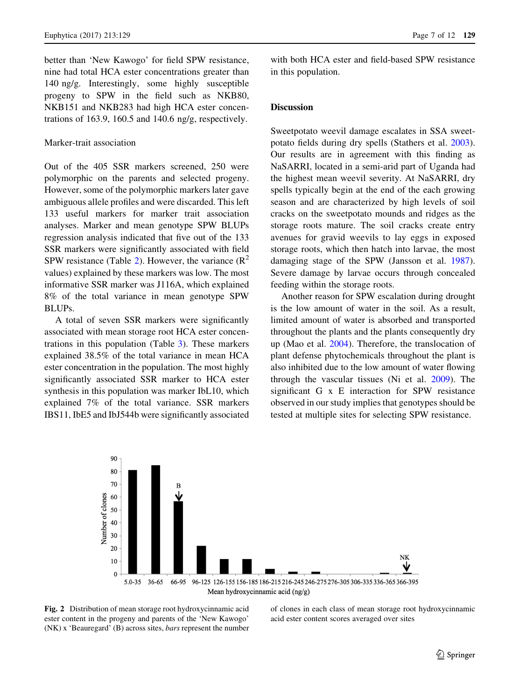<span id="page-6-0"></span>better than 'New Kawogo' for field SPW resistance, nine had total HCA ester concentrations greater than 140 ng/g. Interestingly, some highly susceptible progeny to SPW in the field such as NKB80, NKB151 and NKB283 had high HCA ester concentrations of 163.9, 160.5 and 140.6 ng/g, respectively.

#### Marker-trait association

Out of the 405 SSR markers screened, 250 were polymorphic on the parents and selected progeny. However, some of the polymorphic markers later gave ambiguous allele profiles and were discarded. This left 133 useful markers for marker trait association analyses. Marker and mean genotype SPW BLUPs regression analysis indicated that five out of the 133 SSR markers were significantly associated with field SPW resistance (Table [2\)](#page-7-0). However, the variance  $(R^2)$ values) explained by these markers was low. The most informative SSR marker was J116A, which explained 8% of the total variance in mean genotype SPW BLUPs.

A total of seven SSR markers were significantly associated with mean storage root HCA ester concentrations in this population (Table [3](#page-7-0)). These markers explained 38.5% of the total variance in mean HCA ester concentration in the population. The most highly significantly associated SSR marker to HCA ester synthesis in this population was marker IbL10, which explained 7% of the total variance. SSR markers IBS11, IbE5 and IbJ544b were significantly associated with both HCA ester and field-based SPW resistance in this population.

#### **Discussion**

Sweetpotato weevil damage escalates in SSA sweetpotato fields during dry spells (Stathers et al. [2003](#page-10-0)). Our results are in agreement with this finding as NaSARRI, located in a semi-arid part of Uganda had the highest mean weevil severity. At NaSARRI, dry spells typically begin at the end of the each growing season and are characterized by high levels of soil cracks on the sweetpotato mounds and ridges as the storage roots mature. The soil cracks create entry avenues for gravid weevils to lay eggs in exposed storage roots, which then hatch into larvae, the most damaging stage of the SPW (Jansson et al. [1987](#page-10-0)). Severe damage by larvae occurs through concealed feeding within the storage roots.

Another reason for SPW escalation during drought is the low amount of water in the soil. As a result, limited amount of water is absorbed and transported throughout the plants and the plants consequently dry up (Mao et al. [2004\)](#page-10-0). Therefore, the translocation of plant defense phytochemicals throughout the plant is also inhibited due to the low amount of water flowing through the vascular tissues (Ni et al. [2009\)](#page-10-0). The significant G x E interaction for SPW resistance observed in our study implies that genotypes should be tested at multiple sites for selecting SPW resistance.



Fig. 2 Distribution of mean storage root hydroxycinnamic acid ester content in the progeny and parents of the 'New Kawogo' (NK) x 'Beauregard' (B) across sites, bars represent the number of clones in each class of mean storage root hydroxycinnamic acid ester content scores averaged over sites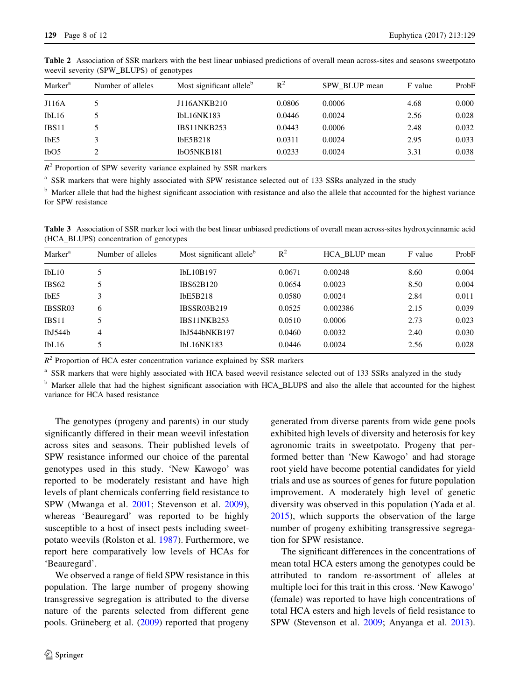| Marker <sup>a</sup>           | Number of alleles | Most significant allele <sup>b</sup> | $R^2$  | SPW BLUP mean | F value | ProbF |
|-------------------------------|-------------------|--------------------------------------|--------|---------------|---------|-------|
| J116A                         |                   | J116ANKB210                          | 0.0806 | 0.0006        | 4.68    | 0.000 |
| IbL16                         |                   | IbL16NK183                           | 0.0446 | 0.0024        | 2.56    | 0.028 |
| IBS11                         |                   | IBS11NKB253                          | 0.0443 | 0.0006        | 2.48    | 0.032 |
| IbE <sub>5</sub>              |                   | <b>IbE5B218</b>                      | 0.0311 | 0.0024        | 2.95    | 0.033 |
| I <sub>b</sub> O <sub>5</sub> |                   | IbO5NKB181                           | 0.0233 | 0.0024        | 3.31    | 0.038 |

<span id="page-7-0"></span>Table 2 Association of SSR markers with the best linear unbiased predictions of overall mean across-sites and seasons sweetpotato weevil severity (SPW\_BLUPS) of genotypes

 $R^2$  Proportion of SPW severity variance explained by SSR markers

<sup>a</sup> SSR markers that were highly associated with SPW resistance selected out of 133 SSRs analyzed in the study

<sup>b</sup> Marker allele that had the highest significant association with resistance and also the allele that accounted for the highest variance for SPW resistance

Table 3 Association of SSR marker loci with the best linear unbiased predictions of overall mean across-sites hydroxycinnamic acid (HCA\_BLUPS) concentration of genotypes

| Marker <sup>a</sup>             | Number of alleles | Most significant allele <sup>b</sup> | $R^2$  | HCA BLUP mean | F value | ProbF |
|---------------------------------|-------------------|--------------------------------------|--------|---------------|---------|-------|
| IbL10                           |                   | IbL10B197                            | 0.0671 | 0.00248       | 8.60    | 0.004 |
| IBS <sub>62</sub>               |                   | IBS62B120                            | 0.0654 | 0.0023        | 8.50    | 0.004 |
| IbE <sub>5</sub>                | 3                 | IbE5B218                             | 0.0580 | 0.0024        | 2.84    | 0.011 |
| IBSSR03                         | 6                 | <b>IBSSR03B219</b>                   | 0.0525 | 0.002386      | 2.15    | 0.039 |
| IBS11                           |                   | IBS11NKB253                          | 0.0510 | 0.0006        | 2.73    | 0.023 |
| I <sub>b</sub> <sub>J544b</sub> | 4                 | IbJ544bNKB197                        | 0.0460 | 0.0032        | 2.40    | 0.030 |
| IbL16                           |                   | IbL16NK183                           | 0.0446 | 0.0024        | 2.56    | 0.028 |
|                                 |                   |                                      |        |               |         |       |

 $R^2$  Proportion of HCA ester concentration variance explained by SSR markers

SSR markers that were highly associated with HCA based weevil resistance selected out of 133 SSRs analyzed in the study

<sup>b</sup> Marker allele that had the highest significant association with HCA\_BLUPS and also the allele that accounted for the highest variance for HCA based resistance

The genotypes (progeny and parents) in our study significantly differed in their mean weevil infestation across sites and seasons. Their published levels of SPW resistance informed our choice of the parental genotypes used in this study. 'New Kawogo' was reported to be moderately resistant and have high levels of plant chemicals conferring field resistance to SPW (Mwanga et al. [2001](#page-10-0); Stevenson et al. [2009](#page-10-0)), whereas 'Beauregard' was reported to be highly susceptible to a host of insect pests including sweetpotato weevils (Rolston et al. [1987\)](#page-10-0). Furthermore, we report here comparatively low levels of HCAs for 'Beauregard'.

We observed a range of field SPW resistance in this population. The large number of progeny showing transgressive segregation is attributed to the diverse nature of the parents selected from different gene pools. Grüneberg et al.  $(2009)$  $(2009)$  reported that progeny generated from diverse parents from wide gene pools exhibited high levels of diversity and heterosis for key agronomic traits in sweetpotato. Progeny that performed better than 'New Kawogo' and had storage root yield have become potential candidates for yield trials and use as sources of genes for future population improvement. A moderately high level of genetic diversity was observed in this population (Yada et al. [2015\)](#page-10-0), which supports the observation of the large number of progeny exhibiting transgressive segregation for SPW resistance.

The significant differences in the concentrations of mean total HCA esters among the genotypes could be attributed to random re-assortment of alleles at multiple loci for this trait in this cross. 'New Kawogo' (female) was reported to have high concentrations of total HCA esters and high levels of field resistance to SPW (Stevenson et al. [2009;](#page-10-0) Anyanga et al. [2013](#page-9-0)).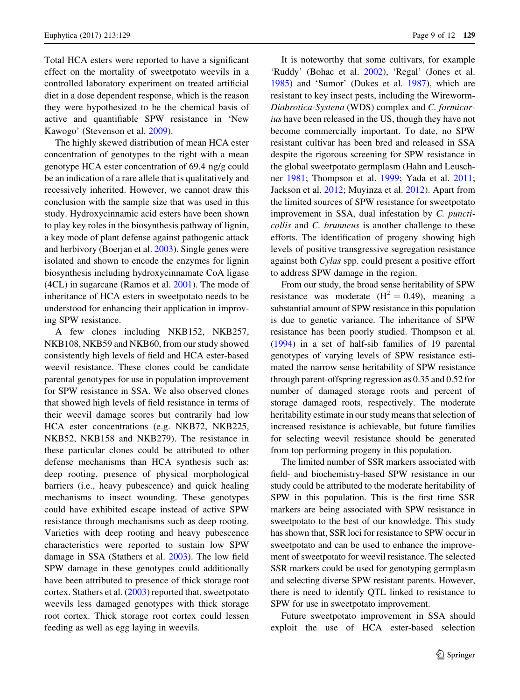Total HCA esters were reported to have a significant effect on the mortality of sweetpotato weevils in a controlled laboratory experiment on treated artificial diet in a dose dependent response, which is the reason they were hypothesized to be the chemical basis of active and quantifiable SPW resistance in 'New Kawogo' (Stevenson et al. [2009](#page-10-0)).

The highly skewed distribution of mean HCA ester concentration of genotypes to the right with a mean genotype HCA ester concentration of 69.4 ng/g could be an indication of a rare allele that is qualitatively and recessively inherited. However, we cannot draw this conclusion with the sample size that was used in this study. Hydroxycinnamic acid esters have been shown to play key roles in the biosynthesis pathway of lignin, a key mode of plant defense against pathogenic attack and herbivory (Boerjan et al. [2003](#page-9-0)). Single genes were isolated and shown to encode the enzymes for lignin biosynthesis including hydroxycinnamate CoA ligase (4CL) in sugarcane (Ramos et al. [2001\)](#page-10-0). The mode of inheritance of HCA esters in sweetpotato needs to be understood for enhancing their application in improving SPW resistance.

A few clones including NKB152, NKB257, NKB108, NKB59 and NKB60, from our study showed consistently high levels of field and HCA ester-based weevil resistance. These clones could be candidate parental genotypes for use in population improvement for SPW resistance in SSA. We also observed clones that showed high levels of field resistance in terms of their weevil damage scores but contrarily had low HCA ester concentrations (e.g. NKB72, NKB225, NKB52, NKB158 and NKB279). The resistance in these particular clones could be attributed to other defense mechanisms than HCA synthesis such as: deep rooting, presence of physical morphological barriers (i.e., heavy pubescence) and quick healing mechanisms to insect wounding. These genotypes could have exhibited escape instead of active SPW resistance through mechanisms such as deep rooting. Varieties with deep rooting and heavy pubescence characteristics were reported to sustain low SPW damage in SSA (Stathers et al. [2003\)](#page-10-0). The low field SPW damage in these genotypes could additionally have been attributed to presence of thick storage root cortex. Stathers et al. [\(2003](#page-10-0)) reported that, sweetpotato weevils less damaged genotypes with thick storage root cortex. Thick storage root cortex could lessen feeding as well as egg laying in weevils.

It is noteworthy that some cultivars, for example 'Ruddy' (Bohac et al. [2002\)](#page-9-0), 'Regal' (Jones et al. [1985\)](#page-10-0) and 'Sumor' (Dukes et al. [1987\)](#page-9-0), which are resistant to key insect pests, including the Wireworm-Diabrotica-Systena (WDS) complex and C. formicarius have been released in the US, though they have not become commercially important. To date, no SPW resistant cultivar has been bred and released in SSA despite the rigorous screening for SPW resistance in the global sweetpotato germplasm (Hahn and Leuschner [1981;](#page-10-0) Thompson et al. [1999](#page-10-0); Yada et al. [2011](#page-10-0); Jackson et al. [2012](#page-10-0); Muyinza et al. [2012](#page-10-0)). Apart from the limited sources of SPW resistance for sweetpotato improvement in SSA, dual infestation by C. puncticollis and C. brunneus is another challenge to these efforts. The identification of progeny showing high levels of positive transgressive segregation resistance against both Cylas spp. could present a positive effort to address SPW damage in the region.

From our study, the broad sense heritability of SPW resistance was moderate  $(H^2 = 0.49)$ , meaning a substantial amount of SPW resistance in this population is due to genetic variance. The inheritance of SPW resistance has been poorly studied. Thompson et al. [\(1994\)](#page-10-0) in a set of half-sib families of 19 parental genotypes of varying levels of SPW resistance estimated the narrow sense heritability of SPW resistance through parent-offspring regression as 0.35 and 0.52 for number of damaged storage roots and percent of storage damaged roots, respectively. The moderate heritability estimate in our study means that selection of increased resistance is achievable, but future families for selecting weevil resistance should be generated from top performing progeny in this population.

The limited number of SSR markers associated with field- and biochemistry-based SPW resistance in our study could be attributed to the moderate heritability of SPW in this population. This is the first time SSR markers are being associated with SPW resistance in sweetpotato to the best of our knowledge. This study has shown that, SSR loci for resistance to SPW occur in sweetpotato and can be used to enhance the improvement of sweetpotato for weevil resistance. The selected SSR markers could be used for genotyping germplasm and selecting diverse SPW resistant parents. However, there is need to identify QTL linked to resistance to SPW for use in sweetpotato improvement.

Future sweetpotato improvement in SSA should exploit the use of HCA ester-based selection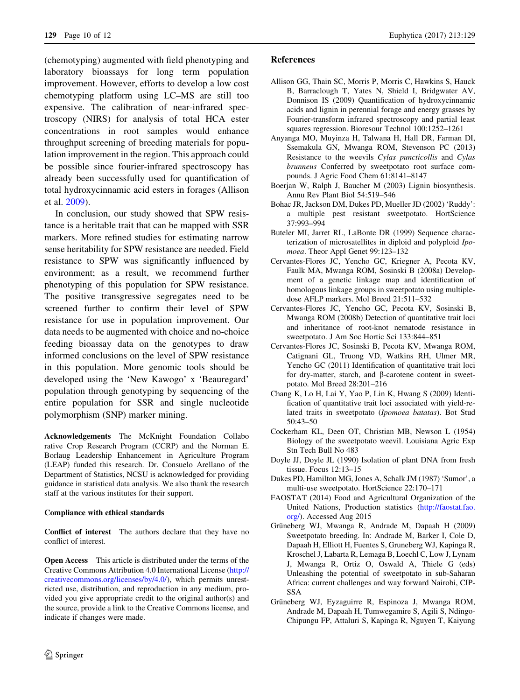<span id="page-9-0"></span>(chemotyping) augmented with field phenotyping and laboratory bioassays for long term population improvement. However, efforts to develop a low cost chemotyping platform using LC–MS are still too expensive. The calibration of near-infrared spectroscopy (NIRS) for analysis of total HCA ester concentrations in root samples would enhance throughput screening of breeding materials for population improvement in the region. This approach could be possible since fourier-infrared spectroscopy has already been successfully used for quantification of total hydroxycinnamic acid esters in forages (Allison et al. 2009).

In conclusion, our study showed that SPW resistance is a heritable trait that can be mapped with SSR markers. More refined studies for estimating narrow sense heritability for SPW resistance are needed. Field resistance to SPW was significantly influenced by environment; as a result, we recommend further phenotyping of this population for SPW resistance. The positive transgressive segregates need to be screened further to confirm their level of SPW resistance for use in population improvement. Our data needs to be augmented with choice and no-choice feeding bioassay data on the genotypes to draw informed conclusions on the level of SPW resistance in this population. More genomic tools should be developed using the 'New Kawogo' x 'Beauregard' population through genotyping by sequencing of the entire population for SSR and single nucleotide polymorphism (SNP) marker mining.

Acknowledgements The McKnight Foundation Collabo rative Crop Research Program (CCRP) and the Norman E. Borlaug Leadership Enhancement in Agriculture Program (LEAP) funded this research. Dr. Consuelo Arellano of the Department of Statistics, NCSU is acknowledged for providing guidance in statistical data analysis. We also thank the research staff at the various institutes for their support.

#### Compliance with ethical standards

Conflict of interest The authors declare that they have no conflict of interest.

Open Access This article is distributed under the terms of the Creative Commons Attribution 4.0 International License ([http://](http://creativecommons.org/licenses/by/4.0/) [creativecommons.org/licenses/by/4.0/\)](http://creativecommons.org/licenses/by/4.0/), which permits unrestricted use, distribution, and reproduction in any medium, provided you give appropriate credit to the original author(s) and the source, provide a link to the Creative Commons license, and indicate if changes were made.

- Allison GG, Thain SC, Morris P, Morris C, Hawkins S, Hauck B, Barraclough T, Yates N, Shield I, Bridgwater AV, Donnison IS (2009) Quantification of hydroxycinnamic acids and lignin in perennial forage and energy grasses by Fourier-transform infrared spectroscopy and partial least squares regression. Bioresour Technol 100:1252–1261
- Anyanga MO, Muyinza H, Talwana H, Hall DR, Farman DI, Ssemakula GN, Mwanga ROM, Stevenson PC (2013) Resistance to the weevils Cylas puncticollis and Cylas brunneus Conferred by sweetpotato root surface compounds. J Agric Food Chem 61:8141–8147
- Boerjan W, Ralph J, Baucher M (2003) Lignin biosynthesis. Annu Rev Plant Biol 54:519–546
- Bohac JR, Jackson DM, Dukes PD, Mueller JD (2002) 'Ruddy': a multiple pest resistant sweetpotato. HortScience 37:993–994
- Buteler MI, Jarret RL, LaBonte DR (1999) Sequence characterization of microsatellites in diploid and polyploid Ipomoea. Theor Appl Genet 99:123–132
- Cervantes-Flores JC, Yencho GC, Kriegner A, Pecota KV, Faulk MA, Mwanga ROM, Sosinski B (2008a) Development of a genetic linkage map and identification of homologous linkage groups in sweetpotato using multipledose AFLP markers. Mol Breed 21:511–532
- Cervantes-Flores JC, Yencho GC, Pecota KV, Sosinski B, Mwanga ROM (2008b) Detection of quantitative trait loci and inheritance of root-knot nematode resistance in sweetpotato. J Am Soc Hortic Sci 133:844–851
- Cervantes-Flores JC, Sosinski B, Pecota KV, Mwanga ROM, Catignani GL, Truong VD, Watkins RH, Ulmer MR, Yencho GC (2011) Identification of quantitative trait loci for dry-matter, starch, and  $\beta$ -carotene content in sweetpotato. Mol Breed 28:201–216
- Chang K, Lo H, Lai Y, Yao P, Lin K, Hwang S (2009) Identification of quantitative trait loci associated with yield-related traits in sweetpotato (Ipomoea batatas). Bot Stud 50:43–50
- Cockerham KL, Deen OT, Christian MB, Newson L (1954) Biology of the sweetpotato weevil. Louisiana Agric Exp Stn Tech Bull No 483
- Doyle JJ, Doyle JL (1990) Isolation of plant DNA from fresh tissue. Focus 12:13–15
- Dukes PD, Hamilton MG, Jones A, Schalk JM (1987) 'Sumor', a multi-use sweetpotato. HortScience 22:170–171
- FAOSTAT (2014) Food and Agricultural Organization of the United Nations, Production statistics [\(http://faostat.fao.](http://faostat.fao.org/) [org/\)](http://faostat.fao.org/). Accessed Aug 2015
- Grüneberg WJ, Mwanga R, Andrade M, Dapaah H (2009) Sweetpotato breeding. In: Andrade M, Barker I, Cole D, Dapaah H, Elliott H, Fuentes S, Gruneberg WJ, Kapinga R, Kroschel J, Labarta R, Lemaga B, Loechl C, Low J, Lynam J, Mwanga R, Ortiz O, Oswald A, Thiele G (eds) Unleashing the potential of sweetpotato in sub-Saharan Africa: current challenges and way forward Nairobi, CIP-SSA
- Grüneberg WJ, Eyzaguirre R, Espinoza J, Mwanga ROM, Andrade M, Dapaah H, Tumwegamire S, Agili S, Ndingo-Chipungu FP, Attaluri S, Kapinga R, Nguyen T, Kaiyung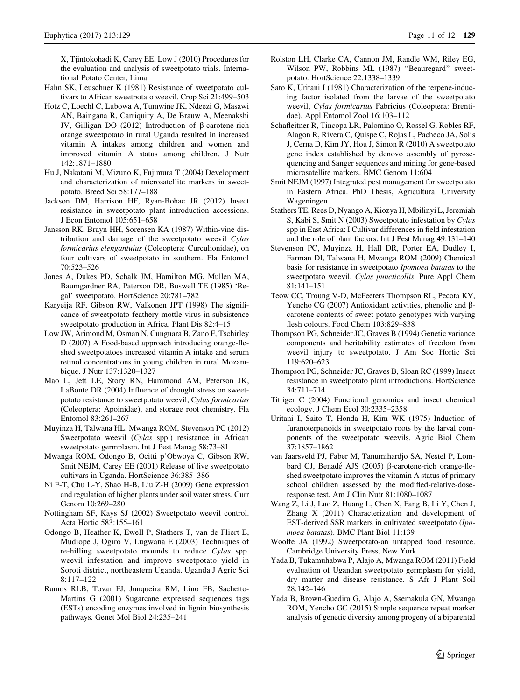<span id="page-10-0"></span>X, Tjintokohadi K, Carey EE, Low J (2010) Procedures for the evaluation and analysis of sweetpotato trials. International Potato Center, Lima

- Hahn SK, Leuschner K (1981) Resistance of sweetpotato cultivars to African sweetpotato weevil. Crop Sci 21:499–503
- Hotz C, Loechl C, Lubowa A, Tumwine JK, Ndeezi G, Masawi AN, Baingana R, Carriquiry A, De Brauw A, Meenakshi JV, Gilligan DO  $(2012)$  Introduction of  $\beta$ -carotene-rich orange sweetpotato in rural Uganda resulted in increased vitamin A intakes among children and women and improved vitamin A status among children. J Nutr 142:1871–1880
- Hu J, Nakatani M, Mizuno K, Fujimura T (2004) Development and characterization of microsatellite markers in sweetpotato. Breed Sci 58:177–188
- Jackson DM, Harrison HF, Ryan-Bohac JR (2012) Insect resistance in sweetpotato plant introduction accessions. J Econ Entomol 105:651–658
- Jansson RK, Brayn HH, Sorensen KA (1987) Within-vine distribution and damage of the sweetpotato weevil Cylas formicarius elengantulus (Coleoptera: Curculionidae), on four cultivars of sweetpotato in southern. Fla Entomol 70:523–526
- Jones A, Dukes PD, Schalk JM, Hamilton MG, Mullen MA, Baumgardner RA, Paterson DR, Boswell TE (1985) 'Regal' sweetpotato. HortScience 20:781–782
- Karyeija RF, Gibson RW, Valkonen JPT (1998) The significance of sweetpotato feathery mottle virus in subsistence sweetpotato production in Africa. Plant Dis 82:4–15
- Low JW, Arimond M, Osman N, Cunguara B, Zano F, Tschirley D (2007) A Food-based approach introducing orange-fleshed sweetpotatoes increased vitamin A intake and serum retinol concentrations in young children in rural Mozambique. J Nutr 137:1320–1327
- Mao L, Jett LE, Story RN, Hammond AM, Peterson JK, LaBonte DR (2004) Influence of drought stress on sweetpotato resistance to sweetpotato weevil, Cylas formicarius (Coleoptera: Apoinidae), and storage root chemistry. Fla Entomol 83:261–267
- Muyinza H, Talwana HL, Mwanga ROM, Stevenson PC (2012) Sweetpotato weevil (Cylas spp.) resistance in African sweetpotato germplasm. Int J Pest Manag 58:73–81
- Mwanga ROM, Odongo B, Ocitti p'Obwoya C, Gibson RW, Smit NEJM, Carey EE (2001) Release of five sweetpotato cultivars in Uganda. HortScience 36:385–386
- Ni F-T, Chu L-Y, Shao H-B, Liu Z-H (2009) Gene expression and regulation of higher plants under soil water stress. Curr Genom 10:269–280
- Nottingham SF, Kays SJ (2002) Sweetpotato weevil control. Acta Hortic 583:155–161
- Odongo B, Heather K, Ewell P, Stathers T, van de Fliert E, Mudiope J, Ogiro V, Lugwana E (2003) Techniques of re-hilling sweetpotato mounds to reduce Cylas spp. weevil infestation and improve sweetpotato yield in Soroti district, northeastern Uganda. Uganda J Agric Sci 8:117–122
- Ramos RLB, Tovar FJ, Junqueira RM, Lino FB, Sachetto-Martins G (2001) Sugarcane expressed sequences tags (ESTs) encoding enzymes involved in lignin biosynthesis pathways. Genet Mol Biol 24:235–241
- Rolston LH, Clarke CA, Cannon JM, Randle WM, Riley EG, Wilson PW, Robbins ML (1987) "Beauregard" sweetpotato. HortScience 22:1338–1339
- Sato K, Uritani I (1981) Characterization of the terpene-inducing factor isolated from the larvae of the sweetpotato weevil, Cylas formicarius Fabricius (Coleoptera: Brentidae). Appl Entomol Zool 16:103–112
- Schafleitner R, Tincopa LR, Palomino O, Rossel G, Robles RF, Alagon R, Rivera C, Quispe C, Rojas L, Pacheco JA, Solis J, Cerna D, Kim JY, Hou J, Simon R (2010) A sweetpotato gene index established by denovo assembly of pyrosequencing and Sanger sequences and mining for gene-based microsatellite markers. BMC Genom 11:604
- Smit NEJM (1997) Integrated pest management for sweetpotato in Eastern Africa. PhD Thesis, Agricultural University Wageningen
- Stathers TE, Rees D, Nyango A, Kiozya H, Mbilinyi L, Jeremiah S, Kabi S, Smit N (2003) Sweetpotato infestation by Cylas spp in East Africa: I Cultivar differences in field infestation and the role of plant factors. Int J Pest Manag 49:131–140
- Stevenson PC, Muyinza H, Hall DR, Porter EA, Dudley I, Farman DI, Talwana H, Mwanga ROM (2009) Chemical basis for resistance in sweetpotato Ipomoea batatas to the sweetpotato weevil, Cylas puncticollis. Pure Appl Chem 81:141–151
- Teow CC, Troung V-D, McFeeters Thompson RL, Pecota KV, Yencho CG (2007) Antioxidant activities, phenolic and  $\beta$ carotene contents of sweet potato genotypes with varying flesh colours. Food Chem 103:829–838
- Thompson PG, Schneider JC, Graves B (1994) Genetic variance components and heritability estimates of freedom from weevil injury to sweetpotato. J Am Soc Hortic Sci 119:620–623
- Thompson PG, Schneider JC, Graves B, Sloan RC (1999) Insect resistance in sweetpotato plant introductions. HortScience 34:711–714
- Tittiger C (2004) Functional genomics and insect chemical ecology. J Chem Ecol 30:2335–2358
- Uritani I, Saito T, Honda H, Kim WK (1975) Induction of furanoterpenoids in sweetpotato roots by the larval components of the sweetpotato weevils. Agric Biol Chem 37:1857–1862
- van Jaarsveld PJ, Faber M, Tanumihardjo SA, Nestel P, Lombard CJ, Benadé AJS (2005) β-carotene-rich orange-fleshed sweetpotato improves the vitamin A status of primary school children assessed by the modified-relative-doseresponse test. Am J Clin Nutr 81:1080–1087
- Wang Z, Li J, Luo Z, Huang L, Chen X, Fang B, Li Y, Chen J, Zhang X (2011) Characterization and development of EST-derived SSR markers in cultivated sweetpotato (Ipomoea batatas). BMC Plant Biol 11:139
- Woolfe JA (1992) Sweetpotato-an untapped food resource. Cambridge University Press, New York
- Yada B, Tukamuhabwa P, Alajo A, Mwanga ROM (2011) Field evaluation of Ugandan sweetpotato germplasm for yield, dry matter and disease resistance. S Afr J Plant Soil 28:142–146
- Yada B, Brown-Guedira G, Alajo A, Ssemakula GN, Mwanga ROM, Yencho GC (2015) Simple sequence repeat marker analysis of genetic diversity among progeny of a biparental